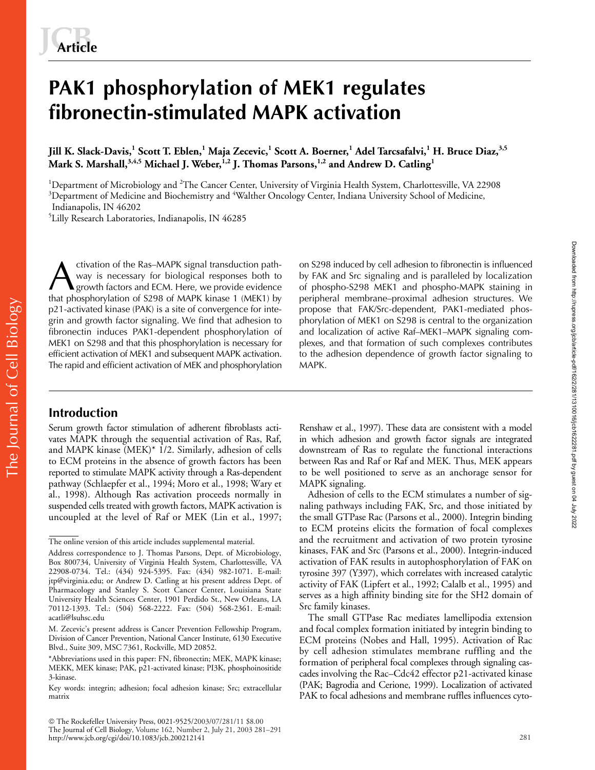# **PAK1 phosphorylation of MEK1 regulates fibronectin-stimulated MAPK activation**

**Jill K. Slack-Davis,<sup>1</sup> Scott T. Eblen,<sup>1</sup> Maja Zecevic,<sup>1</sup> Scott A. Boerner,<sup>1</sup> Adel Tarcsafalvi,<sup>1</sup> H. Bruce Diaz,3,5** Mark S. Marshall,<sup>3,4,5</sup> Michael J. Weber,<sup>1,2</sup> J. Thomas Parsons,<sup>1,2</sup> and Andrew D. Catling<sup>1</sup>

<sup>1</sup>Department of Microbiology and <sup>2</sup>The Cancer Center, University of Virginia Health System, Charlottesville, VA 22908  $3$ Department of Medicine and Biochemistry and  $4$ Walther Oncology Center, Indiana University School of Medicine, Indianapolis, IN 46202

5 Lilly Research Laboratories, Indianapolis, IN 46285

ctivation of the Ras–MAPK signal transduction pathway is necessary for biological responses both to growth factors and ECM. Here, we provide evidence that phosphorylation of S298 of MAPK kinase 1 (MEK1) by p21-activated kinase (PAK) is a site of convergence for integrin and growth factor signaling. We find that adhesion to fibronectin induces PAK1-dependent phosphorylation of MEK1 on S298 and that this phosphorylation is necessary for efficient activation of MEK1 and subsequent MAPK activation. The rapid and efficient activation of MEK and phosphorylation ctivation of the Ras–MAPK signal transduction path-<br>
way is necessary for biological responses both to<br>
growth factors and ECM. Here, we provide evidence<br>
that phospho-MAPK staining in<br>
that phosphorylation of S298 of MAPK

by FAK and Src signaling and is paralleled by localization of phospho-S298 MEK1 and phospho-MAPK staining in peripheral membrane–proximal adhesion structures. We propose that FAK/Src-dependent, PAK1-mediated phosphorylation of MEK1 on S298 is central to the organization and localization of active Raf–MEK1–MAPK signaling complexes, and that formation of such complexes contributes to the adhesion dependence of growth factor signaling to MAPK.

# **Introduction**

Serum growth factor stimulation of adherent fibroblasts activates MAPK through the sequential activation of Ras, Raf, and MAPK kinase (MEK)\* 1/2. Similarly, adhesion of cells to ECM proteins in the absence of growth factors has been reported to stimulate MAPK activity through a Ras-dependent pathway (Schlaepfer et al., 1994; Moro et al., 1998; Wary et al., 1998). Although Ras activation proceeds normally in suspended cells treated with growth factors, MAPK activation is uncoupled at the level of Raf or MEK (Lin et al., 1997;

 The Rockefeller University Press, 0021-9525/2003/07/281/11 \$8.00 The Journal of Cell Biology, Volume 162, Number 2, July 21, 2003 281–291 http://www.jcb.org/cgi/doi/10.1083/jcb.200212141

Renshaw et al., 1997). These data are consistent with a model in which adhesion and growth factor signals are integrated downstream of Ras to regulate the functional interactions between Ras and Raf or Raf and MEK. Thus, MEK appears to be well positioned to serve as an anchorage sensor for MAPK signaling.

Adhesion of cells to the ECM stimulates a number of signaling pathways including FAK, Src, and those initiated by the small GTPase Rac (Parsons et al., 2000). Integrin binding to ECM proteins elicits the formation of focal complexes and the recruitment and activation of two protein tyrosine kinases, FAK and Src (Parsons et al., 2000). Integrin-induced activation of FAK results in autophosphorylation of FAK on tyrosine 397 (Y397), which correlates with increased catalytic activity of FAK (Lipfert et al., 1992; Calalb et al., 1995) and serves as a high affinity binding site for the SH2 domain of Src family kinases.

The small GTPase Rac mediates lamellipodia extension and focal complex formation initiated by integrin binding to ECM proteins (Nobes and Hall, 1995). Activation of Rac by cell adhesion stimulates membrane ruffling and the formation of peripheral focal complexes through signaling cascades involving the Rac–Cdc42 effector p21-activated kinase (PAK; Bagrodia and Cerione, 1999). Localization of activated PAK to focal adhesions and membrane ruffles influences cyto-

The online version of this article includes supplemental material.

Address correspondence to J. Thomas Parsons, Dept. of Microbiology, Box 800734, University of Virginia Health System, Charlottesville, VA 22908-0734. Tel.: (434) 924-5395. Fax: (434) 982-1071. E-mail: jtp@virginia.edu; or Andrew D. Catling at his present address Dept. of Pharmacology and Stanley S. Scott Cancer Center, Louisiana State University Health Sciences Center, 1901 Perdido St., New Orleans, LA 70112-1393. Tel.: (504) 568-2222. Fax: (504) 568-2361. E-mail: acatli@lsuhsc.edu

M. Zecevic's present address is Cancer Prevention Fellowship Program, Division of Cancer Prevention, National Cancer Institute, 6130 Executive Blvd., Suite 309, MSC 7361, Rockville, MD 20852.

<sup>\*</sup>Abbreviations used in this paper: FN, fibronectin; MEK, MAPK kinase; MEKK, MEK kinase; PAK, p21-activated kinase; PI3K, phosphoinositide 3-kinase.

Key words: integrin; adhesion; focal adhesion kinase; Src; extracellular matrix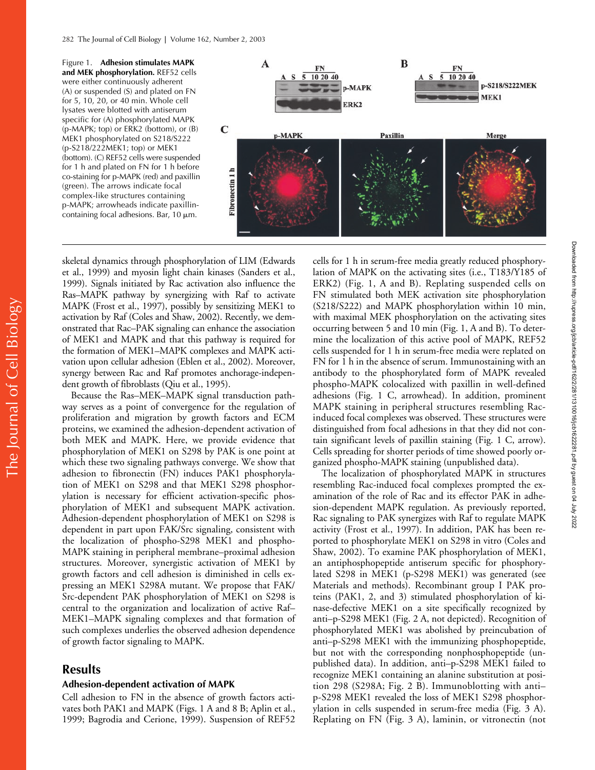Figure 1. **Adhesion stimulates MAPK and MEK phosphorylation.** REF52 cells were either continuously adherent (A) or suspended (S) and plated on FN for 5, 10, 20, or 40 min. Whole cell lysates were blotted with antiserum specific for (A) phosphorylated MAPK (p-MAPK; top) or ERK2 (bottom), or (B) MEK1 phosphorylated on S218/S222 (p-S218/222MEK1; top) or MEK1 (bottom). (C) REF52 cells were suspended for 1 h and plated on FN for 1 h before co-staining for p-MAPK (red) and paxillin (green). The arrows indicate focal complex-like structures containing p-MAPK; arrowheads indicate paxillincontaining focal adhesions. Bar,  $10 \mu m$ .



skeletal dynamics through phosphorylation of LIM (Edwards et al., 1999) and myosin light chain kinases (Sanders et al., 1999). Signals initiated by Rac activation also influence the Ras–MAPK pathway by synergizing with Raf to activate MAPK (Frost et al., 1997), possibly by sensitizing MEK1 to activation by Raf (Coles and Shaw, 2002). Recently, we demonstrated that Rac–PAK signaling can enhance the association of MEK1 and MAPK and that this pathway is required for the formation of MEK1–MAPK complexes and MAPK activation upon cellular adhesion (Eblen et al., 2002). Moreover, synergy between Rac and Raf promotes anchorage-independent growth of fibroblasts (Qiu et al., 1995).

Because the Ras–MEK–MAPK signal transduction pathway serves as a point of convergence for the regulation of proliferation and migration by growth factors and ECM proteins, we examined the adhesion-dependent activation of both MEK and MAPK. Here, we provide evidence that phosphorylation of MEK1 on S298 by PAK is one point at which these two signaling pathways converge. We show that adhesion to fibronectin (FN) induces PAK1 phosphorylation of MEK1 on S298 and that MEK1 S298 phosphorylation is necessary for efficient activation-specific phosphorylation of MEK1 and subsequent MAPK activation. Adhesion-dependent phosphorylation of MEK1 on S298 is dependent in part upon FAK/Src signaling, consistent with the localization of phospho-S298 MEK1 and phospho-MAPK staining in peripheral membrane–proximal adhesion structures. Moreover, synergistic activation of MEK1 by growth factors and cell adhesion is diminished in cells expressing an MEK1 S298A mutant. We propose that FAK/ Src-dependent PAK phosphorylation of MEK1 on S298 is central to the organization and localization of active Raf– MEK1–MAPK signaling complexes and that formation of such complexes underlies the observed adhesion dependence of growth factor signaling to MAPK.

## **Results**

The Journal of Cell Biology

The Journal of Cell Biology

## **Adhesion-dependent activation of MAPK**

Cell adhesion to FN in the absence of growth factors activates both PAK1 and MAPK (Figs. 1 A and 8 B; Aplin et al., 1999; Bagrodia and Cerione, 1999). Suspension of REF52 cells for 1 h in serum-free media greatly reduced phosphorylation of MAPK on the activating sites (i.e., T183/Y185 of ERK2) (Fig. 1, A and B). Replating suspended cells on FN stimulated both MEK activation site phosphorylation (S218/S222) and MAPK phosphorylation within 10 min, with maximal MEK phosphorylation on the activating sites occurring between 5 and 10 min (Fig. 1, A and B). To determine the localization of this active pool of MAPK, REF52 cells suspended for 1 h in serum-free media were replated on FN for 1 h in the absence of serum. Immunostaining with an antibody to the phosphorylated form of MAPK revealed phospho-MAPK colocalized with paxillin in well-defined adhesions (Fig. 1 C, arrowhead). In addition, prominent MAPK staining in peripheral structures resembling Racinduced focal complexes was observed. These structures were distinguished from focal adhesions in that they did not contain significant levels of paxillin staining (Fig. 1 C, arrow). Cells spreading for shorter periods of time showed poorly organized phospho-MAPK staining (unpublished data).

The localization of phosphorylated MAPK in structures resembling Rac-induced focal complexes prompted the examination of the role of Rac and its effector PAK in adhesion-dependent MAPK regulation. As previously reported, Rac signaling to PAK synergizes with Raf to regulate MAPK activity (Frost et al., 1997). In addition, PAK has been reported to phosphorylate MEK1 on S298 in vitro (Coles and Shaw, 2002). To examine PAK phosphorylation of MEK1, an antiphosphopeptide antiserum specific for phosphorylated S298 in MEK1 (p-S298 MEK1) was generated (see Materials and methods). Recombinant group I PAK proteins (PAK1, 2, and 3) stimulated phosphorylation of kinase-defective MEK1 on a site specifically recognized by anti–p-S298 MEK1 (Fig. 2 A, not depicted). Recognition of phosphorylated MEK1 was abolished by preincubation of anti–p-S298 MEK1 with the immunizing phosphopeptide, but not with the corresponding nonphosphopeptide (unpublished data). In addition, anti–p-S298 MEK1 failed to recognize MEK1 containing an alanine substitution at position 298 (S298A; Fig. 2 B). Immunoblotting with anti– p-S298 MEK1 revealed the loss of MEK1 S298 phosphorylation in cells suspended in serum-free media (Fig. 3 A). Replating on FN (Fig. 3 A), laminin, or vitronectin (not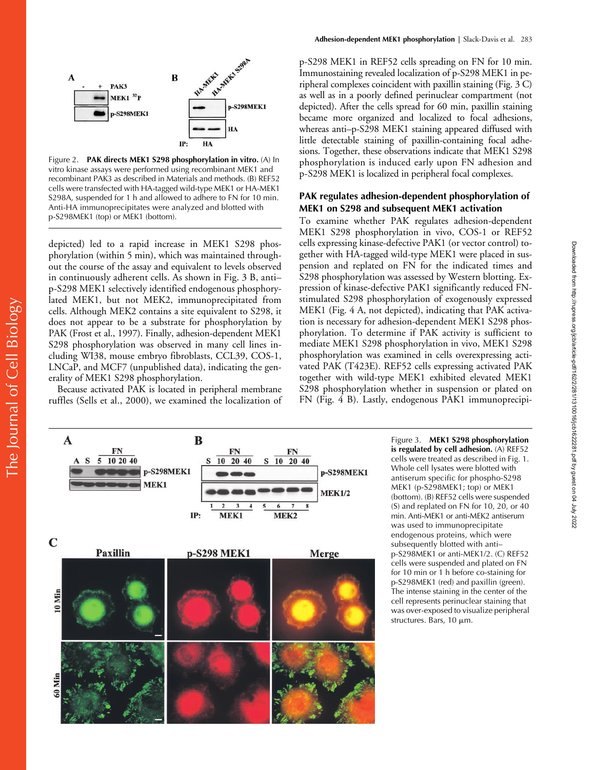

Figure 2. **PAK directs MEK1 S298 phosphorylation in vitro.** (A) In vitro kinase assays were performed using recombinant MEK1 and recombinant PAK3 as described in Materials and methods. (B) REF52 cells were transfected with HA-tagged wild-type MEK1 or HA-MEK1 S298A, suspended for 1 h and allowed to adhere to FN for 10 min. Anti-HA immunoprecipitates were analyzed and blotted with p-S298MEK1 (top) or MEK1 (bottom).

depicted) led to a rapid increase in MEK1 S298 phosphorylation (within 5 min), which was maintained throughout the course of the assay and equivalent to levels observed in continuously adherent cells. As shown in Fig. 3 B, anti– p-S298 MEK1 selectively identified endogenous phosphorylated MEK1, but not MEK2, immunoprecipitated from cells. Although MEK2 contains a site equivalent to S298, it does not appear to be a substrate for phosphorylation by PAK (Frost et al., 1997). Finally, adhesion-dependent MEK1 S298 phosphorylation was observed in many cell lines including WI38, mouse embryo fibroblasts, CCL39, COS-1, LNCaP, and MCF7 (unpublished data), indicating the generality of MEK1 S298 phosphorylation.

Because activated PAK is located in peripheral membrane ruffles (Sells et al., 2000), we examined the localization of

The Journal of Cell Biology

The Journal of Cell Biology

p-S298 MEK1 in REF52 cells spreading on FN for 10 min. Immunostaining revealed localization of p-S298 MEK1 in peripheral complexes coincident with paxillin staining (Fig. 3 C) as well as in a poorly defined perinuclear compartment (not depicted). After the cells spread for 60 min, paxillin staining became more organized and localized to focal adhesions, whereas anti–p-S298 MEK1 staining appeared diffused with little detectable staining of paxillin-containing focal adhesions. Together, these observations indicate that MEK1 S298 phosphorylation is induced early upon FN adhesion and p-S298 MEK1 is localized in peripheral focal complexes.

## **PAK regulates adhesion-dependent phosphorylation of MEK1 on S298 and subsequent MEK1 activation**

To examine whether PAK regulates adhesion-dependent MEK1 S298 phosphorylation in vivo, COS-1 or REF52 cells expressing kinase-defective PAK1 (or vector control) together with HA-tagged wild-type MEK1 were placed in suspension and replated on FN for the indicated times and S298 phosphorylation was assessed by Western blotting. Expression of kinase-defective PAK1 significantly reduced FNstimulated S298 phosphorylation of exogenously expressed MEK1 (Fig. 4 A, not depicted), indicating that PAK activation is necessary for adhesion-dependent MEK1 S298 phosphorylation. To determine if PAK activity is sufficient to mediate MEK1 S298 phosphorylation in vivo, MEK1 S298 phosphorylation was examined in cells overexpressing activated PAK (T423E). REF52 cells expressing activated PAK together with wild-type MEK1 exhibited elevated MEK1 S298 phosphorylation whether in suspension or plated on FN (Fig. 4 B). Lastly, endogenous PAK1 immunoprecipi-



Figure 3. **MEK1 S298 phosphorylation is regulated by cell adhesion.** (A) REF52 cells were treated as described in Fig. 1. Whole cell lysates were blotted with antiserum specific for phospho-S298 MEK1 (p-S298MEK1; top) or MEK1 (bottom). (B) REF52 cells were suspended (S) and replated on FN for 10, 20, or 40 min. Anti-MEK1 or anti-MEK2 antiserum was used to immunoprecipitate endogenous proteins, which were subsequently blotted with anti– p-S298MEK1 or anti-MEK1/2. (C) REF52 cells were suspended and plated on FN for 10 min or 1 h before co-staining for p-S298MEK1 (red) and paxillin (green). The intense staining in the center of the cell represents perinuclear staining that was over-exposed to visualize peripheral structures. Bars, 10 µm.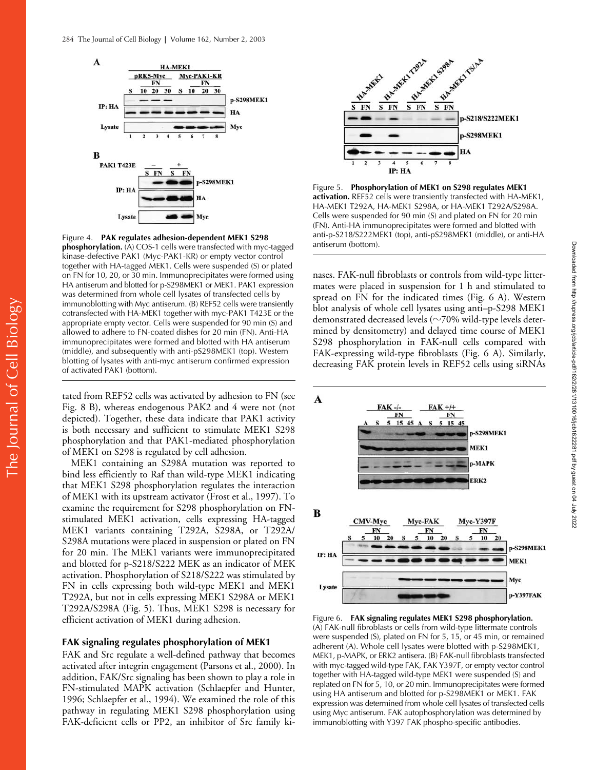

Figure 4. **PAK regulates adhesion-dependent MEK1 S298 phosphorylation.** (A) COS-1 cells were transfected with myc-tagged kinase-defective PAK1 (Myc-PAK1-KR) or empty vector control together with HA-tagged MEK1. Cells were suspended (S) or plated on FN for 10, 20, or 30 min. Immunoprecipitates were formed using HA antiserum and blotted for p-S298MEK1 or MEK1. PAK1 expression was determined from whole cell lysates of transfected cells by immunoblotting with Myc antiserum. (B) REF52 cells were transiently cotransfected with HA-MEK1 together with myc-PAK1 T423E or the appropriate empty vector. Cells were suspended for 90 min (S) and allowed to adhere to FN-coated dishes for 20 min (FN). Anti-HA immunoprecipitates were formed and blotted with HA antiserum (middle), and subsequently with anti-pS298MEK1 (top). Western blotting of lysates with anti-myc antiserum confirmed expression of activated PAK1 (bottom).

tated from REF52 cells was activated by adhesion to FN (see Fig. 8 B), whereas endogenous PAK2 and 4 were not (not depicted). Together, these data indicate that PAK1 activity is both necessary and sufficient to stimulate MEK1 S298 phosphorylation and that PAK1-mediated phosphorylation of MEK1 on S298 is regulated by cell adhesion.

MEK1 containing an S298A mutation was reported to bind less efficiently to Raf than wild-type MEK1 indicating that MEK1 S298 phosphorylation regulates the interaction of MEK1 with its upstream activator (Frost et al., 1997). To examine the requirement for S298 phosphorylation on FNstimulated MEK1 activation, cells expressing HA-tagged MEK1 variants containing T292A, S298A, or T292A/ S298A mutations were placed in suspension or plated on FN for 20 min. The MEK1 variants were immunoprecipitated and blotted for p-S218/S222 MEK as an indicator of MEK activation. Phosphorylation of S218/S222 was stimulated by FN in cells expressing both wild-type MEK1 and MEK1 T292A, but not in cells expressing MEK1 S298A or MEK1 T292A/S298A (Fig. 5). Thus, MEK1 S298 is necessary for efficient activation of MEK1 during adhesion.

#### **FAK signaling regulates phosphorylation of MEK1**

FAK and Src regulate a well-defined pathway that becomes activated after integrin engagement (Parsons et al., 2000). In addition, FAK/Src signaling has been shown to play a role in FN-stimulated MAPK activation (Schlaepfer and Hunter, 1996; Schlaepfer et al., 1994). We examined the role of this pathway in regulating MEK1 S298 phosphorylation using FAK-deficient cells or PP2, an inhibitor of Src family ki-



Figure 5. **Phosphorylation of MEK1 on S298 regulates MEK1 activation.** REF52 cells were transiently transfected with HA-MEK1, HA-MEK1 T292A, HA-MEK1 S298A, or HA-MEK1 T292A/S298A. Cells were suspended for 90 min (S) and plated on FN for 20 min (FN). Anti-HA immunoprecipitates were formed and blotted with anti-p-S218/S222MEK1 (top), anti-pS298MEK1 (middle), or anti-HA antiserum (bottom).

nases. FAK-null fibroblasts or controls from wild-type littermates were placed in suspension for 1 h and stimulated to spread on FN for the indicated times (Fig. 6 A). Western blot analysis of whole cell lysates using anti–p-S298 MEK1 demonstrated decreased levels ( $\sim$ 70% wild-type levels determined by densitometry) and delayed time course of MEK1 S298 phosphorylation in FAK-null cells compared with FAK-expressing wild-type fibroblasts (Fig. 6 A). Similarly, decreasing FAK protein levels in REF52 cells using siRNAs



Figure 6. **FAK signaling regulates MEK1 S298 phosphorylation.**  (A) FAK-null fibroblasts or cells from wild-type littermate controls were suspended (S), plated on FN for 5, 15, or 45 min, or remained adherent (A). Whole cell lysates were blotted with p-S298MEK1, MEK1, p-MAPK, or ERK2 antisera. (B) FAK-null fibroblasts transfected with myc-tagged wild-type FAK, FAK Y397F, or empty vector control together with HA-tagged wild-type MEK1 were suspended (S) and replated on FN for 5, 10, or 20 min. Immunoprecipitates were formed using HA antiserum and blotted for p-S298MEK1 or MEK1. FAK expression was determined from whole cell lysates of transfected cells using Myc antiserum. FAK autophosphorylation was determined by immunoblotting with Y397 FAK phospho-specific antibodies.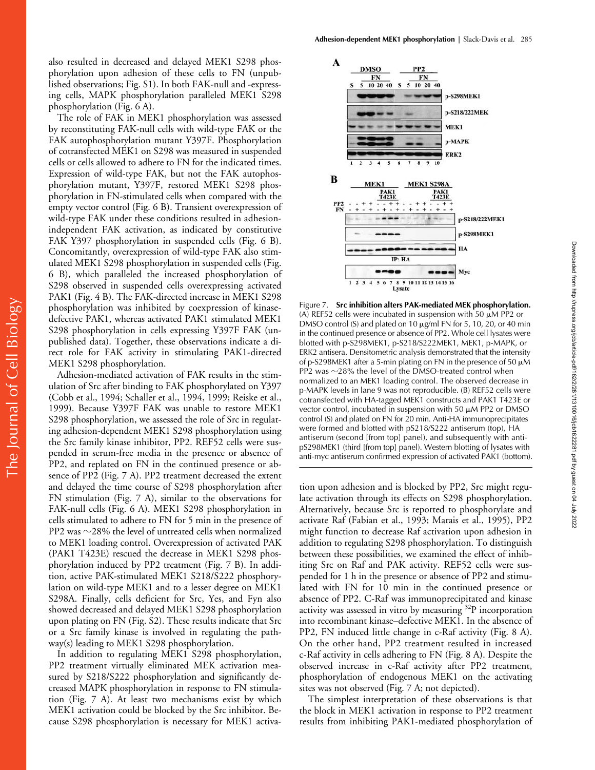also resulted in decreased and delayed MEK1 S298 phosphorylation upon adhesion of these cells to FN (unpublished observations; Fig. S1). In both FAK-null and -expressing cells, MAPK phosphorylation paralleled MEK1 S298 phosphorylation (Fig. 6 A).

The role of FAK in MEK1 phosphorylation was assessed by reconstituting FAK-null cells with wild-type FAK or the FAK autophosphorylation mutant Y397F. Phosphorylation of cotransfected MEK1 on S298 was measured in suspended cells or cells allowed to adhere to FN for the indicated times. Expression of wild-type FAK, but not the FAK autophosphorylation mutant, Y397F, restored MEK1 S298 phosphorylation in FN-stimulated cells when compared with the empty vector control (Fig. 6 B). Transient overexpression of wild-type FAK under these conditions resulted in adhesionindependent FAK activation, as indicated by constitutive FAK Y397 phosphorylation in suspended cells (Fig. 6 B). Concomitantly, overexpression of wild-type FAK also stimulated MEK1 S298 phosphorylation in suspended cells (Fig. 6 B), which paralleled the increased phosphorylation of S298 observed in suspended cells overexpressing activated PAK1 (Fig. 4 B). The FAK-directed increase in MEK1 S298 phosphorylation was inhibited by coexpression of kinasedefective PAK1, whereas activated PAK1 stimulated MEK1 S298 phosphorylation in cells expressing Y397F FAK (unpublished data). Together, these observations indicate a direct role for FAK activity in stimulating PAK1-directed MEK1 S298 phosphorylation.

Adhesion-mediated activation of FAK results in the stimulation of Src after binding to FAK phosphorylated on Y397 (Cobb et al., 1994; Schaller et al., 1994, 1999; Reiske et al., 1999). Because Y397F FAK was unable to restore MEK1 S298 phosphorylation, we assessed the role of Src in regulating adhesion-dependent MEK1 S298 phosphorylation using the Src family kinase inhibitor, PP2. REF52 cells were suspended in serum-free media in the presence or absence of PP2, and replated on FN in the continued presence or absence of PP2 (Fig. 7 A). PP2 treatment decreased the extent and delayed the time course of S298 phosphorylation after FN stimulation (Fig. 7 A), similar to the observations for FAK-null cells (Fig. 6 A). MEK1 S298 phosphorylation in cells stimulated to adhere to FN for 5 min in the presence of PP2 was  $\sim$ 28% the level of untreated cells when normalized to MEK1 loading control. Overexpression of activated PAK (PAK1 T423E) rescued the decrease in MEK1 S298 phosphorylation induced by PP2 treatment (Fig. 7 B). In addition, active PAK-stimulated MEK1 S218/S222 phosphorylation on wild-type MEK1 and to a lesser degree on MEK1 S298A. Finally, cells deficient for Src, Yes, and Fyn also showed decreased and delayed MEK1 S298 phosphorylation upon plating on FN (Fig. S2). These results indicate that Src or a Src family kinase is involved in regulating the pathway(s) leading to MEK1 S298 phosphorylation.

In addition to regulating MEK1 S298 phosphorylation, PP2 treatment virtually eliminated MEK activation measured by S218/S222 phosphorylation and significantly decreased MAPK phosphorylation in response to FN stimulation (Fig. 7 A). At least two mechanisms exist by which MEK1 activation could be blocked by the Src inhibitor. Because S298 phosphorylation is necessary for MEK1 activa-



Figure 7. **Src inhibition alters PAK-mediated MEK phosphorylation.**  (A) REF52 cells were incubated in suspension with 50  $\mu$ M PP2 or DMSO control (S) and plated on 10  $\mu$ g/ml FN for 5, 10, 20, or 40 min in the continued presence or absence of PP2. Whole cell lysates were blotted with p-S298MEK1, p-S218/S222MEK1, MEK1, p-MAPK, or ERK2 antisera. Densitometric analysis demonstrated that the intensity of p-S298MEK1 after a 5-min plating on FN in the presence of 50  $\mu$ M PP2 was  $\sim$ 28% the level of the DMSO-treated control when normalized to an MEK1 loading control. The observed decrease in p-MAPK levels in lane 9 was not reproducible. (B) REF52 cells were cotransfected with HA-tagged MEK1 constructs and PAK1 T423E or vector control, incubated in suspension with 50  $\mu$ M PP2 or DMSO control (S) and plated on FN for 20 min. Anti-HA immunoprecipitates were formed and blotted with pS218/S222 antiserum (top), HA antiserum (second [from top] panel), and subsequently with antipS298MEK1 (third [from top] panel). Western blotting of lysates with anti-myc antiserum confirmed expression of activated PAK1 (bottom).

tion upon adhesion and is blocked by PP2, Src might regulate activation through its effects on S298 phosphorylation. Alternatively, because Src is reported to phosphorylate and activate Raf (Fabian et al., 1993; Marais et al., 1995), PP2 might function to decrease Raf activation upon adhesion in addition to regulating S298 phosphorylation. To distinguish between these possibilities, we examined the effect of inhibiting Src on Raf and PAK activity. REF52 cells were suspended for 1 h in the presence or absence of PP2 and stimulated with FN for 10 min in the continued presence or absence of PP2. C-Raf was immunoprecipitated and kinase activity was assessed in vitro by measuring <sup>32</sup>P incorporation into recombinant kinase–defective MEK1. In the absence of PP2, FN induced little change in c-Raf activity (Fig. 8 A). On the other hand, PP2 treatment resulted in increased c-Raf activity in cells adhering to FN (Fig. 8 A). Despite the observed increase in c-Raf activity after PP2 treatment, phosphorylation of endogenous MEK1 on the activating sites was not observed (Fig. 7 A; not depicted).

The simplest interpretation of these observations is that the block in MEK1 activation in response to PP2 treatment results from inhibiting PAK1-mediated phosphorylation of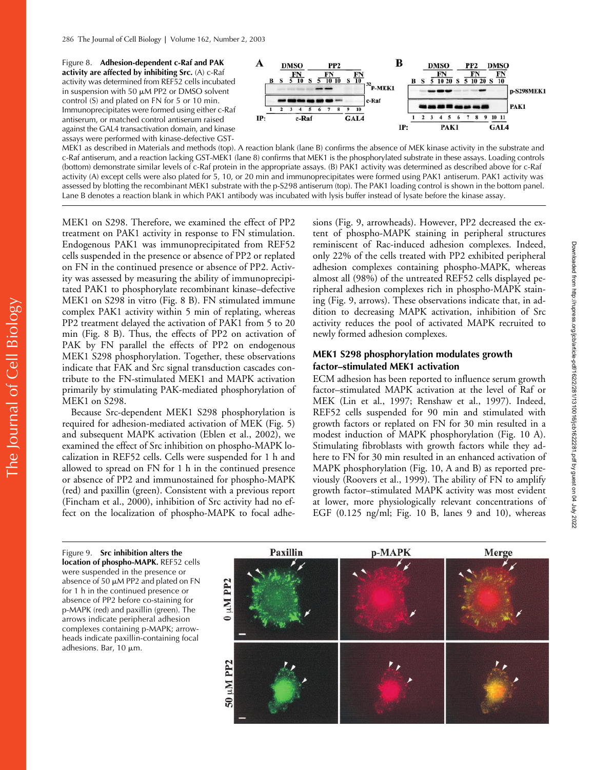Figure 8. **Adhesion-dependent c-Raf and PAK activity are affected by inhibiting Src.** (A) c-Raf activity was determined from REF52 cells incubated in suspension with 50  $\mu$ M PP2 or DMSO solvent control (S) and plated on FN for 5 or 10 min. Immunoprecipitates were formed using either c-Raf antiserum, or matched control antiserum raised against the GAL4 transactivation domain, and kinase assays were performed with kinase-defective GST-



MEK1 as described in Materials and methods (top). A reaction blank (lane B) confirms the absence of MEK kinase activity in the substrate and c-Raf antiserum, and a reaction lacking GST-MEK1 (lane 8) confirms that MEK1 is the phosphorylated substrate in these assays. Loading controls (bottom) demonstrate similar levels of c-Raf protein in the appropriate assays. (B) PAK1 activity was determined as described above for c-Raf activity (A) except cells were also plated for 5, 10, or 20 min and immunoprecipitates were formed using PAK1 antiserum. PAK1 activity was assessed by blotting the recombinant MEK1 substrate with the p-S298 antiserum (top). The PAK1 loading control is shown in the bottom panel. Lane B denotes a reaction blank in which PAK1 antibody was incubated with lysis buffer instead of lysate before the kinase assay.

MEK1 on S298. Therefore, we examined the effect of PP2 treatment on PAK1 activity in response to FN stimulation. Endogenous PAK1 was immunoprecipitated from REF52 cells suspended in the presence or absence of PP2 or replated on FN in the continued presence or absence of PP2. Activity was assessed by measuring the ability of immunoprecipitated PAK1 to phosphorylate recombinant kinase–defective MEK1 on S298 in vitro (Fig. 8 B). FN stimulated immune complex PAK1 activity within 5 min of replating, whereas PP2 treatment delayed the activation of PAK1 from 5 to 20 min (Fig. 8 B). Thus, the effects of PP2 on activation of PAK by FN parallel the effects of PP2 on endogenous MEK1 S298 phosphorylation. Together, these observations indicate that FAK and Src signal transduction cascades contribute to the FN-stimulated MEK1 and MAPK activation primarily by stimulating PAK-mediated phosphorylation of MEK1 on S298.

Because Src-dependent MEK1 S298 phosphorylation is required for adhesion-mediated activation of MEK (Fig. 5) and subsequent MAPK activation (Eblen et al., 2002), we examined the effect of Src inhibition on phospho-MAPK localization in REF52 cells. Cells were suspended for 1 h and allowed to spread on FN for 1 h in the continued presence or absence of PP2 and immunostained for phospho-MAPK (red) and paxillin (green). Consistent with a previous report (Fincham et al., 2000), inhibition of Src activity had no effect on the localization of phospho-MAPK to focal adhesions (Fig. 9, arrowheads). However, PP2 decreased the extent of phospho-MAPK staining in peripheral structures reminiscent of Rac-induced adhesion complexes. Indeed, only 22% of the cells treated with PP2 exhibited peripheral adhesion complexes containing phospho-MAPK, whereas almost all (98%) of the untreated REF52 cells displayed peripheral adhesion complexes rich in phospho-MAPK staining (Fig. 9, arrows). These observations indicate that, in addition to decreasing MAPK activation, inhibition of Src activity reduces the pool of activated MAPK recruited to newly formed adhesion complexes.

## **MEK1 S298 phosphorylation modulates growth factor–stimulated MEK1 activation**

ECM adhesion has been reported to influence serum growth factor–stimulated MAPK activation at the level of Raf or MEK (Lin et al., 1997; Renshaw et al., 1997). Indeed, REF52 cells suspended for 90 min and stimulated with growth factors or replated on FN for 30 min resulted in a modest induction of MAPK phosphorylation (Fig. 10 A). Stimulating fibroblasts with growth factors while they adhere to FN for 30 min resulted in an enhanced activation of MAPK phosphorylation (Fig. 10, A and B) as reported previously (Roovers et al., 1999). The ability of FN to amplify growth factor–stimulated MAPK activity was most evident at lower, more physiologically relevant concentrations of EGF (0.125 ng/ml; Fig. 10 B, lanes 9 and 10), whereas

Figure 9. **Src inhibition alters the location of phospho-MAPK.** REF52 cells were suspended in the presence or absence of 50  $\mu$ M PP2 and plated on FN for 1 h in the continued presence or absence of PP2 before co-staining for p-MAPK (red) and paxillin (green). The arrows indicate peripheral adhesion complexes containing p-MAPK; arrowheads indicate paxillin-containing focal adhesions. Bar, 10 µm.

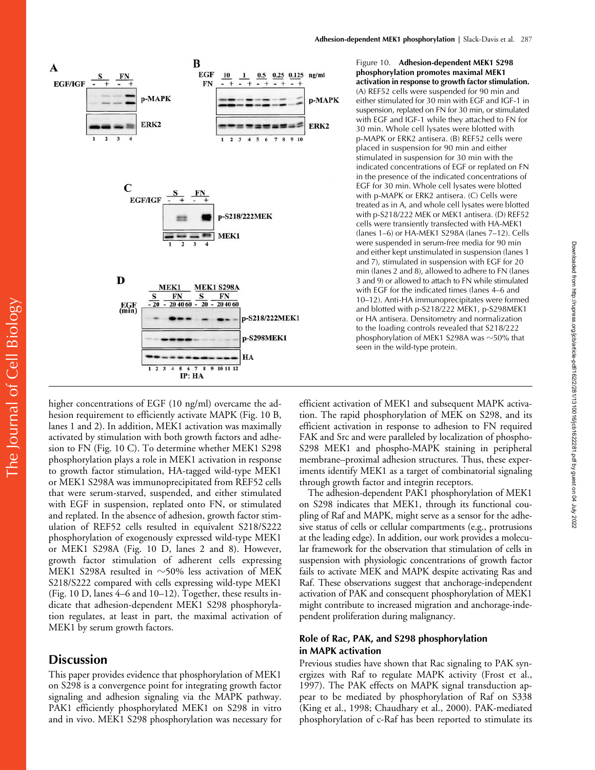

Figure 10. **Adhesion-dependent MEK1 S298 phosphorylation promotes maximal MEK1 activation in response to growth factor stimulation.**  (A) REF52 cells were suspended for 90 min and either stimulated for 30 min with EGF and IGF-1 in suspension, replated on FN for 30 min, or stimulated with EGF and IGF-1 while they attached to FN for 30 min. Whole cell lysates were blotted with p-MAPK or ERK2 antisera. (B) REF52 cells were placed in suspension for 90 min and either stimulated in suspension for 30 min with the indicated concentrations of EGF or replated on FN in the presence of the indicated concentrations of EGF for 30 min. Whole cell lysates were blotted with p-MAPK or ERK2 antisera. (C) Cells were treated as in A, and whole cell lysates were blotted with p-S218/222 MEK or MEK1 antisera. (D) REF52 cells were transiently transfected with HA-MEK1 (lanes 1–6) or HA-MEK1 S298A (lanes 7–12). Cells were suspended in serum-free media for 90 min and either kept unstimulated in suspension (lanes 1 and 7), stimulated in suspension with EGF for 20 min (lanes 2 and 8), allowed to adhere to FN (lanes 3 and 9) or allowed to attach to FN while stimulated with EGF for the indicated times (lanes 4–6 and 10–12). Anti-HA immunoprecipitates were formed and blotted with p-S218/222 MEK1, p-S298MEK1 or HA antisera. Densitometry and normalization to the loading controls revealed that S218/222 phosphorylation of MEK1 S298A was  $\sim$ 50% that seen in the wild-type protein.

Downloaded from http://rupress.org/jcb/article-pdf/162/2/281/1310016/jcb1622281.pdf by guest on 04 July 2022

Downloaded from http://rupress.org/jcb/article-pdf/162/2/281/1310016/jcb1622281.pdf by guest on 04 July 2022

higher concentrations of EGF (10 ng/ml) overcame the adhesion requirement to efficiently activate MAPK (Fig. 10 B, lanes 1 and 2). In addition, MEK1 activation was maximally activated by stimulation with both growth factors and adhesion to FN (Fig. 10 C). To determine whether MEK1 S298 phosphorylation plays a role in MEK1 activation in response to growth factor stimulation, HA-tagged wild-type MEK1 or MEK1 S298A was immunoprecipitated from REF52 cells that were serum-starved, suspended, and either stimulated with EGF in suspension, replated onto FN, or stimulated and replated. In the absence of adhesion, growth factor stimulation of REF52 cells resulted in equivalent S218/S222 phosphorylation of exogenously expressed wild-type MEK1 or MEK1 S298A (Fig. 10 D, lanes 2 and 8). However, growth factor stimulation of adherent cells expressing MEK1 S298A resulted in  $\sim$ 50% less activation of MEK S218/S222 compared with cells expressing wild-type MEK1 (Fig. 10 D, lanes 4–6 and 10–12). Together, these results indicate that adhesion-dependent MEK1 S298 phosphorylation regulates, at least in part, the maximal activation of MEK1 by serum growth factors.

# **Discussion**

This paper provides evidence that phosphorylation of MEK1 on S298 is a convergence point for integrating growth factor signaling and adhesion signaling via the MAPK pathway. PAK1 efficiently phosphorylated MEK1 on S298 in vitro and in vivo. MEK1 S298 phosphorylation was necessary for efficient activation of MEK1 and subsequent MAPK activation. The rapid phosphorylation of MEK on S298, and its efficient activation in response to adhesion to FN required FAK and Src and were paralleled by localization of phospho-S298 MEK1 and phospho-MAPK staining in peripheral membrane–proximal adhesion structures. Thus, these experiments identify MEK1 as a target of combinatorial signaling through growth factor and integrin receptors.

The adhesion-dependent PAK1 phosphorylation of MEK1 on S298 indicates that MEK1, through its functional coupling of Raf and MAPK, might serve as a sensor for the adhesive status of cells or cellular compartments (e.g., protrusions at the leading edge). In addition, our work provides a molecular framework for the observation that stimulation of cells in suspension with physiologic concentrations of growth factor fails to activate MEK and MAPK despite activating Ras and Raf. These observations suggest that anchorage-independent activation of PAK and consequent phosphorylation of MEK1 might contribute to increased migration and anchorage-independent proliferation during malignancy.

## **Role of Rac, PAK, and S298 phosphorylation in MAPK activation**

Previous studies have shown that Rac signaling to PAK synergizes with Raf to regulate MAPK activity (Frost et al., 1997). The PAK effects on MAPK signal transduction appear to be mediated by phosphorylation of Raf on S338 (King et al., 1998; Chaudhary et al., 2000). PAK-mediated phosphorylation of c-Raf has been reported to stimulate its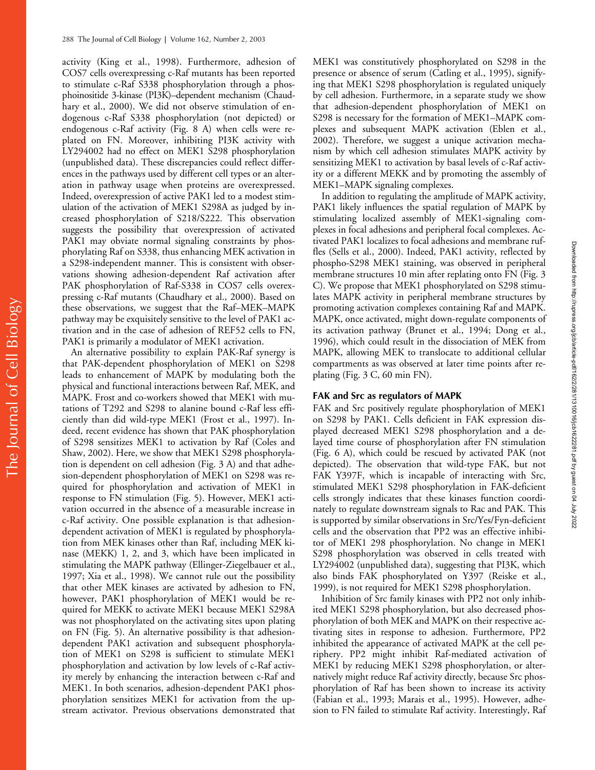activity (King et al., 1998). Furthermore, adhesion of COS7 cells overexpressing c-Raf mutants has been reported to stimulate c-Raf S338 phosphorylation through a phosphoinositide 3-kinase (PI3K)–dependent mechanism (Chaudhary et al., 2000). We did not observe stimulation of endogenous c-Raf S338 phosphorylation (not depicted) or endogenous c-Raf activity (Fig. 8 A) when cells were replated on FN. Moreover, inhibiting PI3K activity with LY294002 had no effect on MEK1 S298 phosphorylation (unpublished data). These discrepancies could reflect differences in the pathways used by different cell types or an alteration in pathway usage when proteins are overexpressed. Indeed, overexpression of active PAK1 led to a modest stimulation of the activation of MEK1 S298A as judged by increased phosphorylation of S218/S222. This observation suggests the possibility that overexpression of activated PAK1 may obviate normal signaling constraints by phosphorylating Raf on S338, thus enhancing MEK activation in a S298-independent manner. This is consistent with observations showing adhesion-dependent Raf activation after PAK phosphorylation of Raf-S338 in COS7 cells overexpressing c-Raf mutants (Chaudhary et al., 2000). Based on these observations, we suggest that the Raf–MEK–MAPK pathway may be exquisitely sensitive to the level of PAK1 activation and in the case of adhesion of REF52 cells to FN, PAK1 is primarily a modulator of MEK1 activation.

An alternative possibility to explain PAK-Raf synergy is that PAK-dependent phosphorylation of MEK1 on S298 leads to enhancement of MAPK by modulating both the physical and functional interactions between Raf, MEK, and MAPK. Frost and co-workers showed that MEK1 with mutations of T292 and S298 to alanine bound c-Raf less efficiently than did wild-type MEK1 (Frost et al., 1997). Indeed, recent evidence has shown that PAK phosphorylation of S298 sensitizes MEK1 to activation by Raf (Coles and Shaw, 2002). Here, we show that MEK1 S298 phosphorylation is dependent on cell adhesion (Fig. 3 A) and that adhesion-dependent phosphorylation of MEK1 on S298 was required for phosphorylation and activation of MEK1 in response to FN stimulation (Fig. 5). However, MEK1 activation occurred in the absence of a measurable increase in c-Raf activity. One possible explanation is that adhesiondependent activation of MEK1 is regulated by phosphorylation from MEK kinases other than Raf, including MEK kinase (MEKK) 1, 2, and 3, which have been implicated in stimulating the MAPK pathway (Ellinger-Ziegelbauer et al., 1997; Xia et al., 1998). We cannot rule out the possibility that other MEK kinases are activated by adhesion to FN, however, PAK1 phosphorylation of MEK1 would be required for MEKK to activate MEK1 because MEK1 S298A was not phosphorylated on the activating sites upon plating on FN (Fig. 5). An alternative possibility is that adhesiondependent PAK1 activation and subsequent phosphorylation of MEK1 on S298 is sufficient to stimulate MEK1 phosphorylation and activation by low levels of c-Raf activity merely by enhancing the interaction between c-Raf and MEK1. In both scenarios, adhesion-dependent PAK1 phosphorylation sensitizes MEK1 for activation from the upstream activator. Previous observations demonstrated that

MEK1 was constitutively phosphorylated on S298 in the presence or absence of serum (Catling et al., 1995), signifying that MEK1 S298 phosphorylation is regulated uniquely by cell adhesion. Furthermore, in a separate study we show that adhesion-dependent phosphorylation of MEK1 on S298 is necessary for the formation of MEK1–MAPK complexes and subsequent MAPK activation (Eblen et al., 2002). Therefore, we suggest a unique activation mechanism by which cell adhesion stimulates MAPK activity by sensitizing MEK1 to activation by basal levels of c-Raf activity or a different MEKK and by promoting the assembly of MEK1–MAPK signaling complexes. In addition to regulating the amplitude of MAPK activity,

PAK1 likely influences the spatial regulation of MAPK by stimulating localized assembly of MEK1-signaling complexes in focal adhesions and peripheral focal complexes. Activated PAK1 localizes to focal adhesions and membrane ruffles (Sells et al., 2000). Indeed, PAK1 activity, reflected by phospho-S298 MEK1 staining, was observed in peripheral membrane structures 10 min after replating onto FN (Fig. 3 C). We propose that MEK1 phosphorylated on S298 stimulates MAPK activity in peripheral membrane structures by promoting activation complexes containing Raf and MAPK. MAPK, once activated, might down-regulate components of its activation pathway (Brunet et al., 1994; Dong et al., 1996), which could result in the dissociation of MEK from MAPK, allowing MEK to translocate to additional cellular compartments as was observed at later time points after replating (Fig. 3 C, 60 min FN).

## **FAK and Src as regulators of MAPK**

FAK and Src positively regulate phosphorylation of MEK1 on S298 by PAK1. Cells deficient in FAK expression displayed decreased MEK1 S298 phosphorylation and a delayed time course of phosphorylation after FN stimulation (Fig. 6 A), which could be rescued by activated PAK (not depicted). The observation that wild-type FAK, but not FAK Y397F, which is incapable of interacting with Src, stimulated MEK1 S298 phosphorylation in FAK-deficient cells strongly indicates that these kinases function coordinately to regulate downstream signals to Rac and PAK. This is supported by similar observations in Src/Yes/Fyn-deficient cells and the observation that PP2 was an effective inhibitor of MEK1 298 phosphorylation. No change in MEK1 S298 phosphorylation was observed in cells treated with LY294002 (unpublished data), suggesting that PI3K, which also binds FAK phosphorylated on Y397 (Reiske et al., 1999), is not required for MEK1 S298 phosphorylation.

Inhibition of Src family kinases with PP2 not only inhibited MEK1 S298 phosphorylation, but also decreased phosphorylation of both MEK and MAPK on their respective activating sites in response to adhesion. Furthermore, PP2 inhibited the appearance of activated MAPK at the cell periphery. PP2 might inhibit Raf-mediated activation of MEK1 by reducing MEK1 S298 phosphorylation, or alternatively might reduce Raf activity directly, because Src phosphorylation of Raf has been shown to increase its activity (Fabian et al., 1993; Marais et al., 1995). However, adhesion to FN failed to stimulate Raf activity. Interestingly, Raf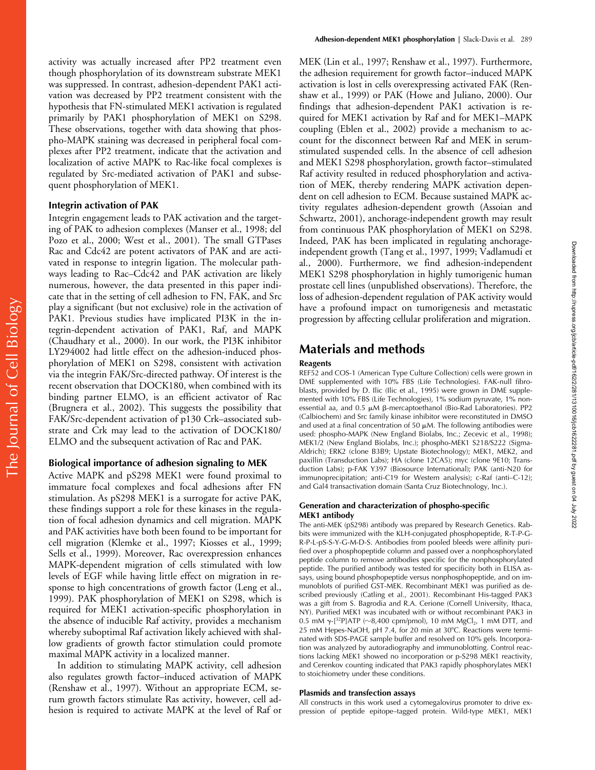activity was actually increased after PP2 treatment even though phosphorylation of its downstream substrate MEK1 was suppressed. In contrast, adhesion-dependent PAK1 activation was decreased by PP2 treatment consistent with the hypothesis that FN-stimulated MEK1 activation is regulated primarily by PAK1 phosphorylation of MEK1 on S298. These observations, together with data showing that phospho-MAPK staining was decreased in peripheral focal complexes after PP2 treatment, indicate that the activation and localization of active MAPK to Rac-like focal complexes is regulated by Src-mediated activation of PAK1 and subsequent phosphorylation of MEK1.

#### **Integrin activation of PAK**

Integrin engagement leads to PAK activation and the targeting of PAK to adhesion complexes (Manser et al., 1998; del Pozo et al., 2000; West et al., 2001). The small GTPases Rac and Cdc42 are potent activators of PAK and are activated in response to integrin ligation. The molecular pathways leading to Rac–Cdc42 and PAK activation are likely numerous, however, the data presented in this paper indicate that in the setting of cell adhesion to FN, FAK, and Src play a significant (but not exclusive) role in the activation of PAK1. Previous studies have implicated PI3K in the integrin-dependent activation of PAK1, Raf, and MAPK (Chaudhary et al., 2000). In our work, the PI3K inhibitor LY294002 had little effect on the adhesion-induced phosphorylation of MEK1 on S298, consistent with activation via the integrin FAK/Src-directed pathway. Of interest is the recent observation that DOCK180, when combined with its binding partner ELMO, is an efficient activator of Rac (Brugnera et al., 2002). This suggests the possibility that FAK/Src-dependent activation of p130 Crk–associated substrate and Crk may lead to the activation of DOCK180/ ELMO and the subsequent activation of Rac and PAK.

#### **Biological importance of adhesion signaling to MEK**

Active MAPK and pS298 MEK1 were found proximal to immature focal complexes and focal adhesions after FN stimulation. As pS298 MEK1 is a surrogate for active PAK, these findings support a role for these kinases in the regulation of focal adhesion dynamics and cell migration. MAPK and PAK activities have both been found to be important for cell migration (Klemke et al., 1997; Kiosses et al., 1999; Sells et al., 1999). Moreover, Rac overexpression enhances MAPK-dependent migration of cells stimulated with low levels of EGF while having little effect on migration in response to high concentrations of growth factor (Leng et al., 1999). PAK phosphorylation of MEK1 on S298, which is required for MEK1 activation-specific phosphorylation in the absence of inducible Raf activity, provides a mechanism whereby suboptimal Raf activation likely achieved with shallow gradients of growth factor stimulation could promote maximal MAPK activity in a localized manner.

In addition to stimulating MAPK activity, cell adhesion also regulates growth factor–induced activation of MAPK (Renshaw et al., 1997). Without an appropriate ECM, serum growth factors stimulate Ras activity, however, cell adhesion is required to activate MAPK at the level of Raf or MEK (Lin et al., 1997; Renshaw et al., 1997). Furthermore, the adhesion requirement for growth factor–induced MAPK activation is lost in cells overexpressing activated FAK (Renshaw et al., 1999) or PAK (Howe and Juliano, 2000). Our findings that adhesion-dependent PAK1 activation is required for MEK1 activation by Raf and for MEK1–MAPK coupling (Eblen et al., 2002) provide a mechanism to account for the disconnect between Raf and MEK in serumstimulated suspended cells. In the absence of cell adhesion and MEK1 S298 phosphorylation, growth factor–stimulated Raf activity resulted in reduced phosphorylation and activation of MEK, thereby rendering MAPK activation dependent on cell adhesion to ECM. Because sustained MAPK activity regulates adhesion-dependent growth (Assoian and Schwartz, 2001), anchorage-independent growth may result from continuous PAK phosphorylation of MEK1 on S298. Indeed, PAK has been implicated in regulating anchorageindependent growth (Tang et al., 1997, 1999; Vadlamudi et al., 2000). Furthermore, we find adhesion-independent MEK1 S298 phosphorylation in highly tumorigenic human prostate cell lines (unpublished observations). Therefore, the loss of adhesion-dependent regulation of PAK activity would have a profound impact on tumorigenesis and metastatic progression by affecting cellular proliferation and migration.

# **Materials and methods**

#### **Reagents**

REF52 and COS-1 (American Type Culture Collection) cells were grown in DME supplemented with 10% FBS (Life Technologies). FAK-null fibroblasts, provided by D. Ilic (Ilic et al., 1995) were grown in DME supplemented with 10% FBS (Life Technologies), 1% sodium pyruvate, 1% nonessential aa, and 0.5 μM β-mercaptoethanol (Bio-Rad Laboratories). PP2 (Calbiochem) and Src family kinase inhibitor were reconstituted in DMSO and used at a final concentration of 50  $\mu$ M. The following antibodies were used: phospho-MAPK (New England Biolabs, Inc.; Zecevic et al., 1998); MEK1/2 (New England Biolabs, Inc.); phospho-MEK1 S218/S222 (Sigma-Aldrich); ERK2 (clone B3B9; Upstate Biotechnology); MEK1, MEK2, and paxillin (Transduction Labs); HA (clone 12CA5); myc (clone 9E10; Transduction Labs); p-FAK Y397 (Biosource International); PAK (anti-N20 for immunoprecipitation; anti-C19 for Western analysis); c-Raf (anti–C-12); and Gal4 transactivation domain (Santa Cruz Biotechnology, Inc.).

#### **Generation and characterization of phospho-specific MEK1 antibody**

The anti-MEK (pS298) antibody was prepared by Research Genetics. Rabbits were immunized with the KLH-conjugated phosphopeptide, R-T-P-G-R-P-L-pS-S-Y-G-M-D-S. Antibodies from pooled bleeds were affinity purified over a phosphopeptide column and passed over a nonphosphorylated peptide column to remove antibodies specific for the nonphosphorylated peptide. The purified antibody was tested for specificity both in ELISA assays, using bound phosphopeptide versus nonphosphopeptide, and on immunoblots of purified GST-MEK. Recombinant MEK1 was purified as described previously (Catling et al., 2001). Recombinant His-tagged PAK3 was a gift from S. Bagrodia and R.A. Cerione (Cornell University, Ithaca, NY). Purified MEK1 was incubated with or without recombinant PAK3 in 0.5 mM γ-[ $^{32}$ P]ATP ( $\sim$ 8,400 cpm/pmol), 10 mM MgCl<sub>2</sub>, 1 mM DTT, and 25 mM Hepes-NaOH, pH 7.4, for 20 min at 30°C. Reactions were terminated with SDS-PAGE sample buffer and resolved on 10% gels. Incorporation was analyzed by autoradiography and immunoblotting. Control reactions lacking MEK1 showed no incorporation or p-S298 MEK1 reactivity, and Cerenkov counting indicated that PAK3 rapidly phosphorylates MEK1 to stoichiometry under these conditions.

#### **Plasmids and transfection assays**

All constructs in this work used a cytomegalovirus promoter to drive expression of peptide epitope–tagged protein. Wild-type MEK1, MEK1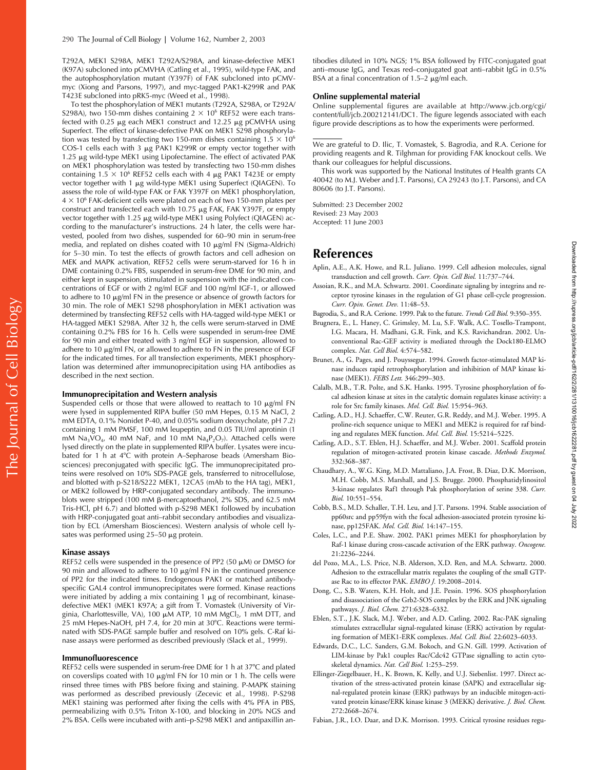T292A, MEK1 S298A, MEK1 T292A/S298A, and kinase-defective MEK1 (K97A) subcloned into pCMVHA (Catling et al., 1995), wild-type FAK, and the autophosphorylation mutant (Y397F) of FAK subcloned into pCMVmyc (Xiong and Parsons, 1997), and myc-tagged PAK1-K299R and PAK T423E subcloned into pRK5-myc (Weed et al., 1998).

To test the phosphorylation of MEK1 mutants (T292A, S298A, or T292A/ S298A), two 150-mm dishes containing 2  $\times$  10<sup>6</sup> REF52 were each transfected with 0.25  $\mu$ g each MEK1 construct and 12.25  $\mu$ g pCMVHA using Superfect. The effect of kinase-defective PAK on MEK1 S298 phosphorylation was tested by transfecting two 150-mm dishes containing  $1.5 \times 10^6$ COS-1 cells each with 3 μg PAK1 K299R or empty vector together with 1.25 µg wild-type MEK1 using Lipofectamine. The effect of activated PAK on MEK1 phosphorylation was tested by transfecting two 150-mm dishes containing 1.5  $\times$  10<sup>6</sup> REF52 cells each with 4  $\mu$ g PAK1 T423E or empty vector together with 1 µg wild-type MEK1 using Superfect (QIAGEN). To assess the role of wild-type FAK or FAK Y397F on MEK1 phosphorylation, 4  $\times$  10 $^6$  FAK-deficient cells were plated on each of two 150-mm plates per construct and transfected each with  $10.75 \mu g$  FAK, FAK Y397F, or empty vector together with 1.25 µg wild-type MEK1 using Polyfect (QIAGEN) according to the manufacturer's instructions. 24 h later, the cells were harvested, pooled from two dishes, suspended for 60–90 min in serum-free media, and replated on dishes coated with 10 µg/ml FN (Sigma-Aldrich) for 5–30 min. To test the effects of growth factors and cell adhesion on MEK and MAPK activation, REF52 cells were serum-starved for 16 h in DME containing 0.2% FBS, suspended in serum-free DME for 90 min, and either kept in suspension, stimulated in suspension with the indicated concentrations of EGF or with 2 ng/ml EGF and 100 ng/ml IGF-1, or allowed to adhere to 10 µg/ml FN in the presence or absence of growth factors for 30 min. The role of MEK1 S298 phosphorylation in MEK1 activation was determined by transfecting REF52 cells with HA-tagged wild-type MEK1 or HA-tagged MEK1 S298A. After 32 h, the cells were serum-starved in DME containing 0.2% FBS for 16 h. Cells were suspended in serum-free DME for 90 min and either treated with 3 ng/ml EGF in suspension, allowed to adhere to 10 µg/ml FN, or allowed to adhere to FN in the presence of EGF for the indicated times. For all transfection experiments, MEK1 phosphorylation was determined after immunoprecipitation using HA antibodies as described in the next section.

#### **Immunoprecipitation and Western analysis**

Suspended cells or those that were allowed to reattach to 10  $\mu$ g/ml FN were lysed in supplemented RIPA buffer (50 mM Hepes, 0.15 M NaCl, 2 mM EDTA, 0.1% Nonidet P-40, and 0.05% sodium deoxycholate, pH 7.2) containing 1 mM PMSF, 100 mM leupeptin, and 0.05 TIU/ml aprotinin (1 mM  $Na_3VO_4$ , 40 mM NaF, and 10 mM  $Na_4P_2O_7$ ). Attached cells were lysed directly on the plate in supplemented RIPA buffer. Lysates were incubated for 1 h at 4°C with protein A–Sepharose beads (Amersham Biosciences) preconjugated with specific IgG. The immunoprecipitated proteins were resolved on 10% SDS-PAGE gels, transferred to nitrocellulose, and blotted with p-S218/S222 MEK1, 12CA5 (mAb to the HA tag), MEK1, or MEK2 followed by HRP-conjugated secondary antibody. The immunoblots were stripped (100 mM  $\beta$ -mercaptoethanol, 2% SDS, and 62.5 mM Tris-HCl, pH 6.7) and blotted with p-S298 MEK1 followed by incubation with HRP-conjugated goat anti–rabbit secondary antibodies and visualization by ECL (Amersham Biosciences). Western analysis of whole cell lysates was performed using  $25-50 \mu$ g protein.

#### **Kinase assays**

REF52 cells were suspended in the presence of PP2 (50  $\mu$ M) or DMSO for 90 min and allowed to adhere to 10  $\mu$ g/ml FN in the continued presence of PP2 for the indicated times. Endogenous PAK1 or matched antibodyspecific GAL4 control immunoprecipitates were formed. Kinase reactions were initiated by adding a mix containing  $1 \mu$ g of recombinant, kinasedefective MEK1 (MEK1 K97A; a gift from T. Vomastek (University of Virginia, Charlottesville, VA), 100 µM ATP, 10 mM MgCl<sub>2</sub>, 1 mM DTT, and 25 mM Hepes-NaOH, pH 7.4, for 20 min at 30°C. Reactions were terminated with SDS-PAGE sample buffer and resolved on 10% gels. C-Raf kinase assays were performed as described previously (Slack et al., 1999).

#### **Immunofluorescence**

REF52 cells were suspended in serum-free DME for 1 h at 37°C and plated on coverslips coated with 10  $\mu$ g/ml FN for 10 min or 1 h. The cells were rinsed three times with PBS before fixing and staining. P-MAPK staining was performed as described previously (Zecevic et al., 1998). P-S298 MEK1 staining was performed after fixing the cells with 4% PFA in PBS, permeabilizing with 0.5% Triton X-100, and blocking in 20% NGS and 2% BSA. Cells were incubated with anti–p-S298 MEK1 and antipaxillin antibodies diluted in 10% NGS; 1% BSA followed by FITC-conjugated goat anti–mouse IgG, and Texas red–conjugated goat anti–rabbit IgG in 0.5% BSA at a final concentration of  $1.5-2$   $\mu$ g/ml each.

#### **Online supplemental material**

Online supplemental figures are available at http://www.jcb.org/cgi/ content/full/jcb.200212141/DC1. The figure legends associated with each figure provide descriptions as to how the experiments were performed.

We are grateful to D. Ilic, T. Vomastek, S. Bagrodia, and R.A. Cerione for providing reagents and R. Tilghman for providing FAK knockout cells. We thank our colleagues for helpful discussions.

This work was supported by the National Institutes of Health grants CA 40042 (to M.J. Weber and J.T. Parsons), CA 29243 (to J.T. Parsons), and CA 80606 (to J.T. Parsons).

Submitted: 23 December 2002 Revised: 23 May 2003 Accepted: 11 June 2003

## **References**

- Aplin, A.E., A.K. Howe, and R.L. Juliano. 1999. Cell adhesion molecules, signal transduction and cell growth. *Curr. Opin. Cell Biol.* 11:737–744.
- Assoian, R.K., and M.A. Schwartz. 2001. Coordinate signaling by integrins and receptor tyrosine kinases in the regulation of G1 phase cell-cycle progression. *Curr. Opin. Genet. Dev.* 11:48–53.
- Bagrodia, S., and R.A. Cerione. 1999. Pak to the future. *Trends Cell Biol.* 9:350–355.
- Brugnera, E., L. Haney, C. Grimsley, M. Lu, S.F. Walk, A.C. Tosello-Trampont, I.G. Macara, H. Madhani, G.R. Fink, and K.S. Ravichandran. 2002. Unconventional Rac-GEF activity is mediated through the Dock180-ELMO complex. *Nat. Cell Biol.* 4:574–582.
- Brunet, A., G. Pages, and J. Pouyssegur. 1994. Growth factor-stimulated MAP kinase induces rapid retrophosphorylation and inhibition of MAP kinase kinase (MEK1). *FEBS Lett.* 346:299–303.
- Calalb, M.B., T.R. Polte, and S.K. Hanks. 1995. Tyrosine phosphorylation of focal adhesion kinase at sites in the catalytic domain regulates kinase activity: a role for Src family kinases. *Mol. Cell. Biol.* 15:954–963.
- Catling, A.D., H.J. Schaeffer, C.W. Reuter, G.R. Reddy, and M.J. Weber. 1995. A proline-rich sequence unique to MEK1 and MEK2 is required for raf binding and regulates MEK function. *Mol. Cell. Biol.* 15:5214–5225.
- Catling, A.D., S.T. Eblen, H.J. Schaeffer, and M.J. Weber. 2001. Scaffold protein regulation of mitogen-activated protein kinase cascade. *Methods Enzymol.* 332:368–387.
- Chaudhary, A., W.G. King, M.D. Mattaliano, J.A. Frost, B. Diaz, D.K. Morrison, M.H. Cobb, M.S. Marshall, and J.S. Brugge. 2000. Phosphatidylinositol 3-kinase regulates Raf1 through Pak phosphorylation of serine 338. *Curr. Biol.* 10:551–554.
- Cobb, B.S., M.D. Schaller, T.H. Leu, and J.T. Parsons. 1994. Stable association of pp60src and pp59fyn with the focal adhesion-associated protein tyrosine kinase, pp125FAK. *Mol. Cell. Biol.* 14:147–155.
- Coles, L.C., and P.E. Shaw. 2002. PAK1 primes MEK1 for phosphorylation by Raf-1 kinase during cross-cascade activation of the ERK pathway. *Oncogene.* 21:2236–2244.
- del Pozo, M.A., L.S. Price, N.B. Alderson, X.D. Ren, and M.A. Schwartz. 2000. Adhesion to the extracellular matrix regulates the coupling of the small GTPase Rac to its effector PAK. *EMBO J.* 19:2008–2014.
- Dong, C., S.B. Waters, K.H. Holt, and J.E. Pessin. 1996. SOS phosphorylation and disassociation of the Grb2-SOS complex by the ERK and JNK signaling pathways. *J. Biol. Chem.* 271:6328–6332.
- Eblen, S.T., J.K. Slack, M.J. Weber, and A.D. Catling. 2002. Rac-PAK signaling stimulates extracellular signal-regulated kinase (ERK) activation by regulating formation of MEK1-ERK complexes. *Mol. Cell. Biol.* 22:6023–6033.
- Edwards, D.C., L.C. Sanders, G.M. Bokoch, and G.N. Gill. 1999. Activation of LIM-kinase by Pak1 couples Rac/Cdc42 GTPase signalling to actin cytoskeletal dynamics. *Nat. Cell Biol.* 1:253–259.
- Ellinger-Ziegelbauer, H., K. Brown, K. Kelly, and U.J. Siebenlist. 1997. Direct activation of the stress-activated protein kinase (SAPK) and extracellular signal-regulated protein kinase (ERK) pathways by an inducible mitogen-activated protein kinase/ERK kinase kinase 3 (MEKK) derivative. *J. Biol. Chem.* 272:2668–2674.
- Fabian, J.R., I.O. Daar, and D.K. Morrison. 1993. Critical tyrosine residues regu-